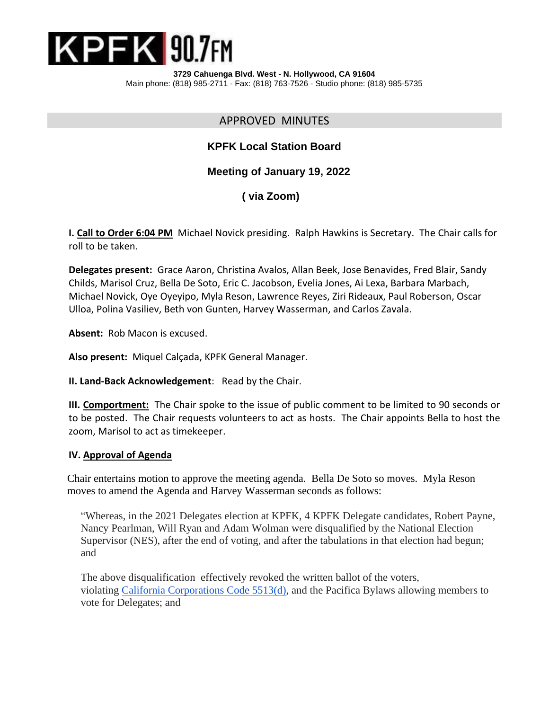

**3729 Cahuenga Blvd. West - N. Hollywood, CA 91604** Main phone: (818) 985-2711 - Fax: (818) 763-7526 - Studio phone: (818) 985-5735

## APPROVED MINUTES

# **KPFK Local Station Board**

## **Meeting of January 19, 2022**

# **( via Zoom)**

**I. Call to Order 6:04 PM** Michael Novick presiding. Ralph Hawkins is Secretary. The Chair calls for roll to be taken.

**Delegates present:** Grace Aaron, Christina Avalos, Allan Beek, Jose Benavides, Fred Blair, Sandy Childs, Marisol Cruz, Bella De Soto, Eric C. Jacobson, Evelia Jones, Ai Lexa, Barbara Marbach, Michael Novick, Oye Oyeyipo, Myla Reson, Lawrence Reyes, Ziri Rideaux, Paul Roberson, Oscar Ulloa, Polina Vasiliev, Beth von Gunten, Harvey Wasserman, and Carlos Zavala.

**Absent:** Rob Macon is excused.

**Also present:** Miquel Calçada, KPFK General Manager.

**II. Land-Back Acknowledgement**: Read by the Chair.

**III. Comportment:** The Chair spoke to the issue of public comment to be limited to 90 seconds or to be posted. The Chair requests volunteers to act as hosts. The Chair appoints Bella to host the zoom, Marisol to act as timekeeper.

#### **IV. Approval of Agenda**

 Chair entertains motion to approve the meeting agenda. Bella De Soto so moves. Myla Reson moves to amend the Agenda and Harvey Wasserman seconds as follows:

"Whereas, in the 2021 Delegates election at KPFK, 4 KPFK Delegate candidates, Robert Payne, Nancy Pearlman, Will Ryan and Adam Wolman were disqualified by the National Election Supervisor (NES), after the end of voting, and after the tabulations in that election had begun; and

The above disqualification effectively revoked the written ballot of the voters, violating [California Corporations](https://leginfo.legislature.ca.gov/faces/codes_displaySection.xhtml?lawCode=CORP§ionNum=5513) Code 5513(d), and the Pacifica Bylaws allowing members to vote for Delegates; and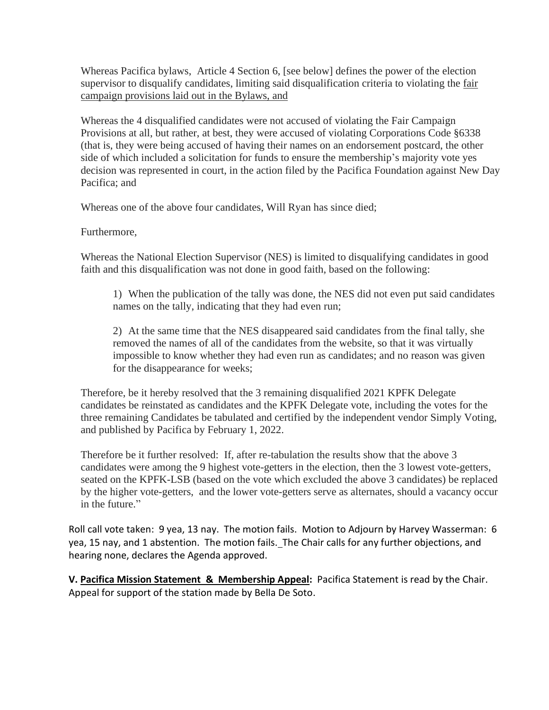Whereas Pacifica bylaws, Article 4 Section 6, [see below] defines the power of the election supervisor to disqualify candidates, limiting said disqualification criteria to violating the fair campaign provisions laid out in the Bylaws, and

Whereas the 4 disqualified candidates were not accused of violating the Fair Campaign Provisions at all, but rather, at best, they were accused of violating Corporations Code §6338 (that is, they were being accused of having their names on an endorsement postcard, the other side of which included a solicitation for funds to ensure the membership's majority vote yes decision was represented in court, in the action filed by the Pacifica Foundation against New Day Pacifica; and

Whereas one of the above four candidates, Will Ryan has since died;

Furthermore,

Whereas the National Election Supervisor (NES) is limited to disqualifying candidates in good faith and this disqualification was not done in good faith, based on the following:

1) When the publication of the tally was done, the NES did not even put said candidates names on the tally, indicating that they had even run;

2) At the same time that the NES disappeared said candidates from the final tally, she removed the names of all of the candidates from the website, so that it was virtually impossible to know whether they had even run as candidates; and no reason was given for the disappearance for weeks;

Therefore, be it hereby resolved that the 3 remaining disqualified 2021 KPFK Delegate candidates be reinstated as candidates and the KPFK Delegate vote, including the votes for the three remaining Candidates be tabulated and certified by the independent vendor Simply Voting, and published by Pacifica by February 1, 2022.

Therefore be it further resolved: If, after re-tabulation the results show that the above 3 candidates were among the 9 highest vote-getters in the election, then the 3 lowest vote-getters, seated on the KPFK-LSB (based on the vote which excluded the above 3 candidates) be replaced by the higher vote-getters, and the lower vote-getters serve as alternates, should a vacancy occur in the future."

Roll call vote taken: 9 yea, 13 nay. The motion fails. Motion to Adjourn by Harvey Wasserman: 6 yea, 15 nay, and 1 abstention. The motion fails.The Chair calls for any further objections, and hearing none, declares the Agenda approved.

**V. Pacifica Mission Statement & Membership Appeal:** Pacifica Statement is read by the Chair. Appeal for support of the station made by Bella De Soto.